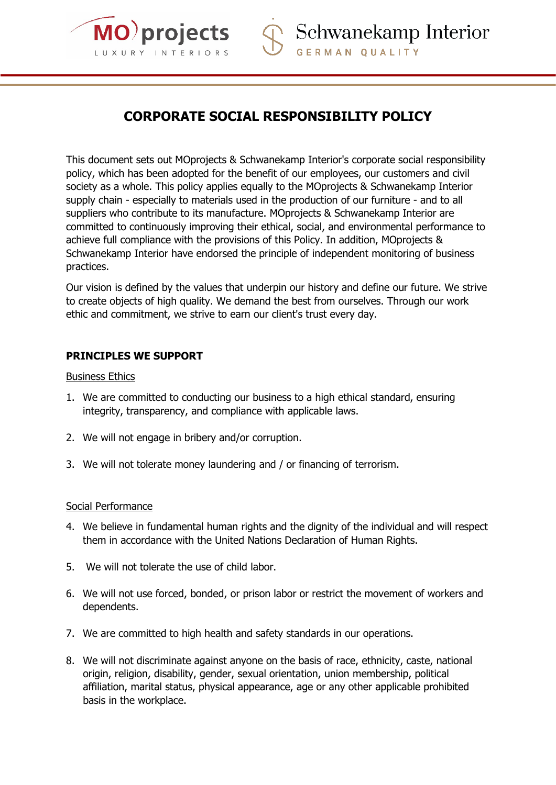

# **CORPORATE SOCIAL RESPONSIBILITY POLICY**

This document sets out MOprojects & Schwanekamp Interior's corporate social responsibility policy, which has been adopted for the benefit of our employees, our customers and civil society as a whole. This policy applies equally to the MOprojects & Schwanekamp Interior supply chain - especially to materials used in the production of our furniture - and to all suppliers who contribute to its manufacture. MOprojects & Schwanekamp Interior are committed to continuously improving their ethical, social, and environmental performance to achieve full compliance with the provisions of this Policy. In addition, MOprojects & Schwanekamp Interior have endorsed the principle of independent monitoring of business practices.

Our vision is defined by the values that underpin our history and define our future. We strive to create objects of high quality. We demand the best from ourselves. Through our work ethic and commitment, we strive to earn our client's trust every day.

## **PRINCIPLES WE SUPPORT**

#### Business Ethics

- 1. We are committed to conducting our business to a high ethical standard, ensuring integrity, transparency, and compliance with applicable laws.
- 2. We will not engage in bribery and/or corruption.
- 3. We will not tolerate money laundering and / or financing of terrorism.

### Social Performance

- 4. We believe in fundamental human rights and the dignity of the individual and will respect them in accordance with the United Nations Declaration of Human Rights.
- 5. We will not tolerate the use of child labor.
- 6. We will not use forced, bonded, or prison labor or restrict the movement of workers and dependents.
- 7. We are committed to high health and safety standards in our operations.
- 8. We will not discriminate against anyone on the basis of race, ethnicity, caste, national origin, religion, disability, gender, sexual orientation, union membership, political affiliation, marital status, physical appearance, age or any other applicable prohibited basis in the workplace.